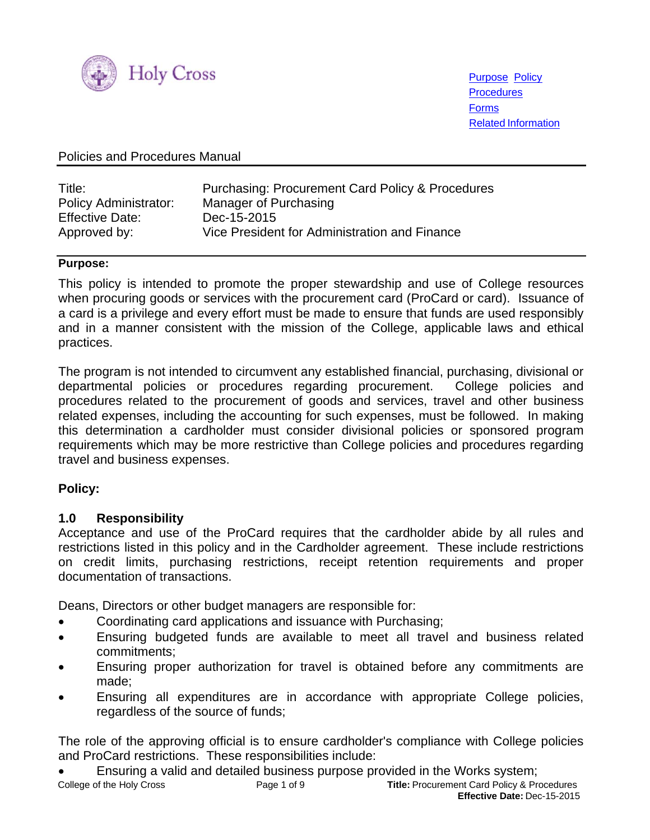

Purpose Policy **Procedures** Forms Related Information

#### Policies and Procedures Manual

| Title:                 | <b>Purchasing: Procurement Card Policy &amp; Procedures</b> |
|------------------------|-------------------------------------------------------------|
| Policy Administrator:  | Manager of Purchasing                                       |
| <b>Effective Date:</b> | Dec-15-2015                                                 |
| Approved by:           | Vice President for Administration and Finance               |

#### **Purpose:**

This policy is intended to promote the proper stewardship and use of College resources when procuring goods or services with the procurement card (ProCard or card). Issuance of a card is a privilege and every effort must be made to ensure that funds are used responsibly and in a manner consistent with the mission of the College, applicable laws and ethical practices.

The program is not intended to circumvent any established financial, purchasing, divisional or departmental policies or procedures regarding procurement. College policies and procedures related to the procurement of goods and services, travel and other business related expenses, including the accounting for such expenses, must be followed. In making this determination a cardholder must consider divisional policies or sponsored program requirements which may be more restrictive than College policies and procedures regarding travel and business expenses.

#### **Policy:**

#### **1.0 Responsibility**

Acceptance and use of the ProCard requires that the cardholder abide by all rules and restrictions listed in this policy and in the Cardholder agreement. These include restrictions on credit limits, purchasing restrictions, receipt retention requirements and proper documentation of transactions.

Deans, Directors or other budget managers are responsible for:

- Coordinating card applications and issuance with Purchasing;
- Ensuring budgeted funds are available to meet all travel and business related commitments;
- Ensuring proper authorization for travel is obtained before any commitments are made;
- Ensuring all expenditures are in accordance with appropriate College policies, regardless of the source of funds;

The role of the approving official is to ensure cardholder's compliance with College policies and ProCard restrictions. These responsibilities include:

College of the Holy Cross Page 1 of 9 **Title:** Procurement Card Policy & Procedures Ensuring a valid and detailed business purpose provided in the Works system;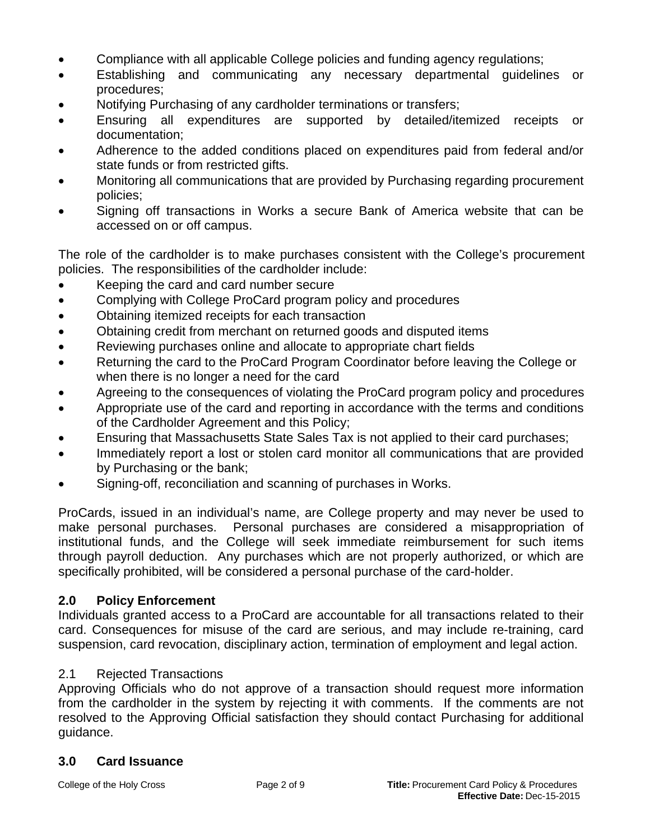- Compliance with all applicable College policies and funding agency regulations;
- Establishing and communicating any necessary departmental guidelines or procedures;
- Notifying Purchasing of any cardholder terminations or transfers;
- Ensuring all expenditures are supported by detailed/itemized receipts or documentation;
- Adherence to the added conditions placed on expenditures paid from federal and/or state funds or from restricted gifts.
- Monitoring all communications that are provided by Purchasing regarding procurement policies;
- Signing off transactions in Works a secure Bank of America website that can be accessed on or off campus.

The role of the cardholder is to make purchases consistent with the College's procurement policies. The responsibilities of the cardholder include:

- Keeping the card and card number secure
- Complying with College ProCard program policy and procedures
- Obtaining itemized receipts for each transaction
- Obtaining credit from merchant on returned goods and disputed items
- Reviewing purchases online and allocate to appropriate chart fields
- Returning the card to the ProCard Program Coordinator before leaving the College or when there is no longer a need for the card
- Agreeing to the consequences of violating the ProCard program policy and procedures
- Appropriate use of the card and reporting in accordance with the terms and conditions of the Cardholder Agreement and this Policy;
- Ensuring that Massachusetts State Sales Tax is not applied to their card purchases;
- Immediately report a lost or stolen card monitor all communications that are provided by Purchasing or the bank;
- Signing-off, reconciliation and scanning of purchases in Works.

ProCards, issued in an individual's name, are College property and may never be used to make personal purchases. Personal purchases are considered a misappropriation of institutional funds, and the College will seek immediate reimbursement for such items through payroll deduction. Any purchases which are not properly authorized, or which are specifically prohibited, will be considered a personal purchase of the card-holder.

### **2.0 Policy Enforcement**

Individuals granted access to a ProCard are accountable for all transactions related to their card. Consequences for misuse of the card are serious, and may include re-training, card suspension, card revocation, disciplinary action, termination of employment and legal action.

### 2.1 Rejected Transactions

Approving Officials who do not approve of a transaction should request more information from the cardholder in the system by rejecting it with comments. If the comments are not resolved to the Approving Official satisfaction they should contact Purchasing for additional guidance.

### **3.0 Card Issuance**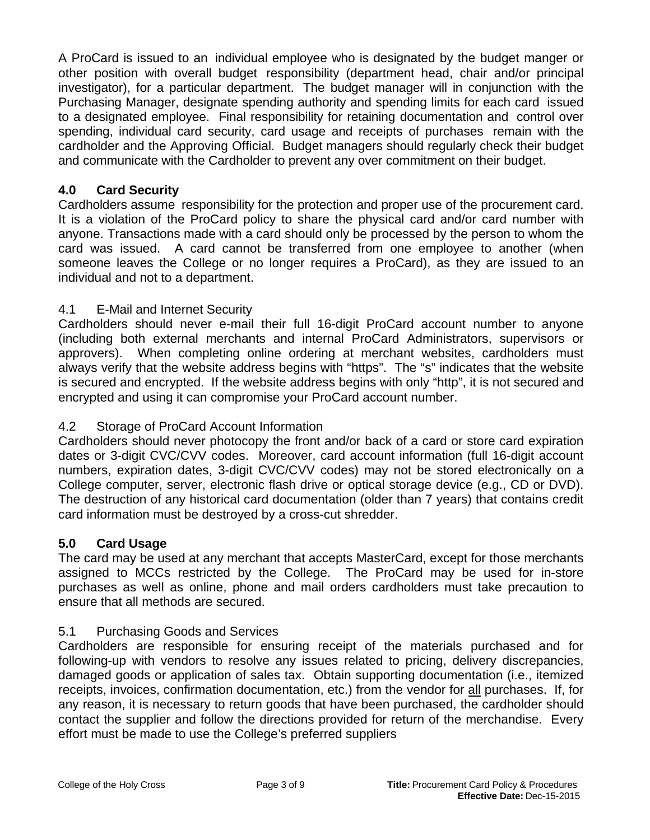A ProCard is issued to an individual employee who is designated by the budget manger or other position with overall budget responsibility (department head, chair and/or principal investigator), for a particular department. The budget manager will in conjunction with the Purchasing Manager, designate spending authority and spending limits for each card issued to a designated employee. Final responsibility for retaining documentation and control over spending, individual card security, card usage and receipts of purchases remain with the cardholder and the Approving Official. Budget managers should regularly check their budget and communicate with the Cardholder to prevent any over commitment on their budget.

# **4.0 Card Security**

Cardholders assume responsibility for the protection and proper use of the procurement card. It is a violation of the ProCard policy to share the physical card and/or card number with anyone. Transactions made with a card should only be processed by the person to whom the card was issued. A card cannot be transferred from one employee to another (when someone leaves the College or no longer requires a ProCard), as they are issued to an individual and not to a department.

# 4.1 E-Mail and Internet Security

Cardholders should never e-mail their full 16-digit ProCard account number to anyone (including both external merchants and internal ProCard Administrators, supervisors or approvers). When completing online ordering at merchant websites, cardholders must always verify that the website address begins with "https". The "s" indicates that the website is secured and encrypted. If the website address begins with only "http", it is not secured and encrypted and using it can compromise your ProCard account number.

## 4.2 Storage of ProCard Account Information

Cardholders should never photocopy the front and/or back of a card or store card expiration dates or 3-digit CVC/CVV codes. Moreover, card account information (full 16-digit account numbers, expiration dates, 3-digit CVC/CVV codes) may not be stored electronically on a College computer, server, electronic flash drive or optical storage device (e.g., CD or DVD). The destruction of any historical card documentation (older than 7 years) that contains credit card information must be destroyed by a cross-cut shredder.

## **5.0 Card Usage**

The card may be used at any merchant that accepts MasterCard, except for those merchants assigned to MCCs restricted by the College. The ProCard may be used for in-store purchases as well as online, phone and mail orders cardholders must take precaution to ensure that all methods are secured.

## 5.1 Purchasing Goods and Services

Cardholders are responsible for ensuring receipt of the materials purchased and for following-up with vendors to resolve any issues related to pricing, delivery discrepancies, damaged goods or application of sales tax. Obtain supporting documentation (i.e., itemized receipts, invoices, confirmation documentation, etc.) from the vendor for all purchases. If, for any reason, it is necessary to return goods that have been purchased, the cardholder should contact the supplier and follow the directions provided for return of the merchandise. Every effort must be made to use the College's preferred suppliers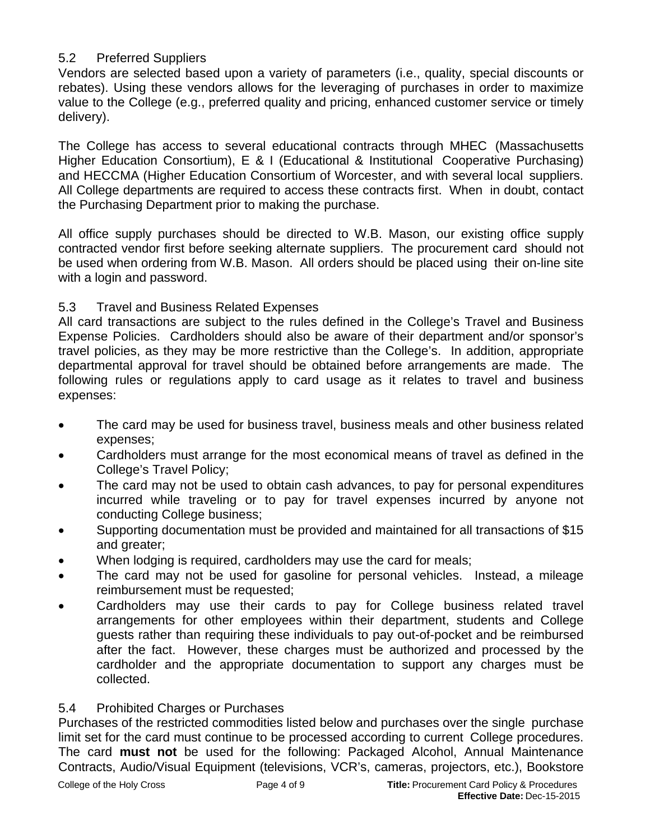## 5.2 Preferred Suppliers

Vendors are selected based upon a variety of parameters (i.e., quality, special discounts or rebates). Using these vendors allows for the leveraging of purchases in order to maximize value to the College (e.g., preferred quality and pricing, enhanced customer service or timely delivery).

The College has access to several educational contracts through MHEC (Massachusetts Higher Education Consortium), E & I (Educational & Institutional Cooperative Purchasing) and HECCMA (Higher Education Consortium of Worcester, and with several local suppliers. All College departments are required to access these contracts first. When in doubt, contact the Purchasing Department prior to making the purchase.

All office supply purchases should be directed to W.B. Mason, our existing office supply contracted vendor first before seeking alternate suppliers. The procurement card should not be used when ordering from W.B. Mason. All orders should be placed using their on-line site with a login and password.

## 5.3 Travel and Business Related Expenses

All card transactions are subject to the rules defined in the College's Travel and Business Expense Policies. Cardholders should also be aware of their department and/or sponsor's travel policies, as they may be more restrictive than the College's. In addition, appropriate departmental approval for travel should be obtained before arrangements are made. The following rules or regulations apply to card usage as it relates to travel and business expenses:

- The card may be used for business travel, business meals and other business related expenses;
- Cardholders must arrange for the most economical means of travel as defined in the College's Travel Policy;
- The card may not be used to obtain cash advances, to pay for personal expenditures incurred while traveling or to pay for travel expenses incurred by anyone not conducting College business;
- Supporting documentation must be provided and maintained for all transactions of \$15 and greater;
- When lodging is required, cardholders may use the card for meals;
- The card may not be used for gasoline for personal vehicles. Instead, a mileage reimbursement must be requested;
- Cardholders may use their cards to pay for College business related travel arrangements for other employees within their department, students and College guests rather than requiring these individuals to pay out-of-pocket and be reimbursed after the fact. However, these charges must be authorized and processed by the cardholder and the appropriate documentation to support any charges must be collected.

## 5.4 Prohibited Charges or Purchases

Purchases of the restricted commodities listed below and purchases over the single purchase limit set for the card must continue to be processed according to current College procedures. The card **must not** be used for the following: Packaged Alcohol, Annual Maintenance Contracts, Audio/Visual Equipment (televisions, VCR's, cameras, projectors, etc.), Bookstore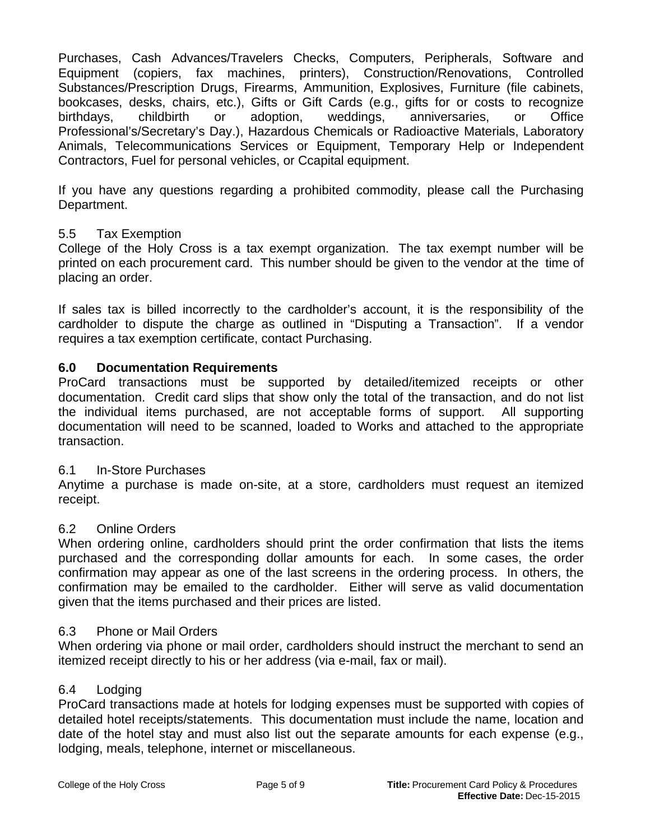Purchases, Cash Advances/Travelers Checks, Computers, Peripherals, Software and Equipment (copiers, fax machines, printers), Construction/Renovations, Controlled Substances/Prescription Drugs, Firearms, Ammunition, Explosives, Furniture (file cabinets, bookcases, desks, chairs, etc.), Gifts or Gift Cards (e.g., gifts for or costs to recognize birthdays, childbirth or adoption, weddings, anniversaries, or Office Professional's/Secretary's Day.), Hazardous Chemicals or Radioactive Materials, Laboratory Animals, Telecommunications Services or Equipment, Temporary Help or Independent Contractors, Fuel for personal vehicles, or Ccapital equipment.

If you have any questions regarding a prohibited commodity, please call the Purchasing Department.

#### 5.5 Tax Exemption

College of the Holy Cross is a tax exempt organization. The tax exempt number will be printed on each procurement card. This number should be given to the vendor at the time of placing an order.

If sales tax is billed incorrectly to the cardholder's account, it is the responsibility of the cardholder to dispute the charge as outlined in "Disputing a Transaction". If a vendor requires a tax exemption certificate, contact Purchasing.

#### **6.0 Documentation Requirements**

ProCard transactions must be supported by detailed/itemized receipts or other documentation. Credit card slips that show only the total of the transaction, and do not list the individual items purchased, are not acceptable forms of support. All supporting documentation will need to be scanned, loaded to Works and attached to the appropriate transaction.

#### 6.1 In-Store Purchases

Anytime a purchase is made on-site, at a store, cardholders must request an itemized receipt.

#### 6.2 Online Orders

When ordering online, cardholders should print the order confirmation that lists the items purchased and the corresponding dollar amounts for each. In some cases, the order confirmation may appear as one of the last screens in the ordering process. In others, the confirmation may be emailed to the cardholder. Either will serve as valid documentation given that the items purchased and their prices are listed.

#### 6.3 Phone or Mail Orders

When ordering via phone or mail order, cardholders should instruct the merchant to send an itemized receipt directly to his or her address (via e-mail, fax or mail).

#### 6.4 Lodging

ProCard transactions made at hotels for lodging expenses must be supported with copies of detailed hotel receipts/statements. This documentation must include the name, location and date of the hotel stay and must also list out the separate amounts for each expense (e.g., lodging, meals, telephone, internet or miscellaneous.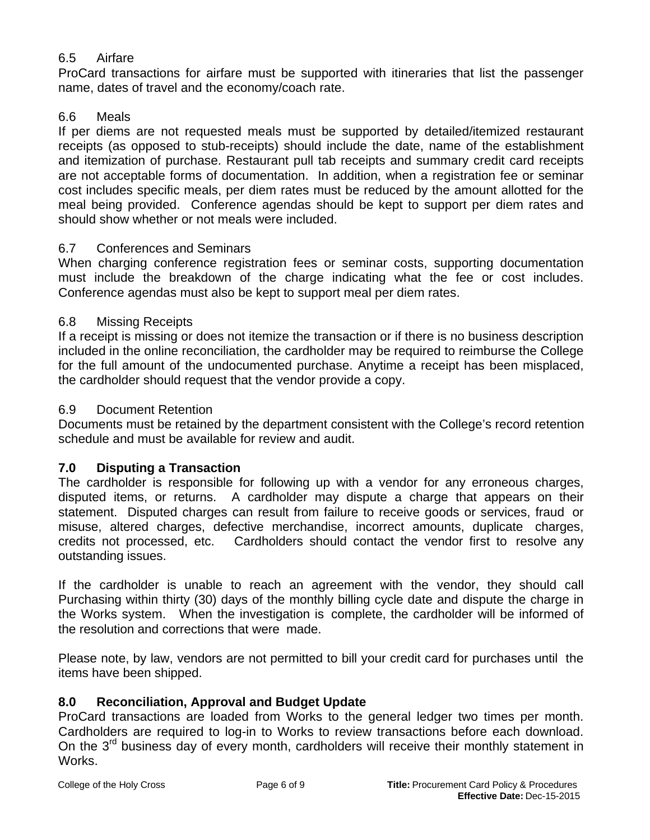## 6.5 Airfare

ProCard transactions for airfare must be supported with itineraries that list the passenger name, dates of travel and the economy/coach rate.

### 6.6 Meals

If per diems are not requested meals must be supported by detailed/itemized restaurant receipts (as opposed to stub-receipts) should include the date, name of the establishment and itemization of purchase. Restaurant pull tab receipts and summary credit card receipts are not acceptable forms of documentation. In addition, when a registration fee or seminar cost includes specific meals, per diem rates must be reduced by the amount allotted for the meal being provided. Conference agendas should be kept to support per diem rates and should show whether or not meals were included.

### 6.7 Conferences and Seminars

When charging conference registration fees or seminar costs, supporting documentation must include the breakdown of the charge indicating what the fee or cost includes. Conference agendas must also be kept to support meal per diem rates.

### 6.8 Missing Receipts

If a receipt is missing or does not itemize the transaction or if there is no business description included in the online reconciliation, the cardholder may be required to reimburse the College for the full amount of the undocumented purchase. Anytime a receipt has been misplaced, the cardholder should request that the vendor provide a copy.

#### 6.9 Document Retention

Documents must be retained by the department consistent with the College's record retention schedule and must be available for review and audit.

### **7.0 Disputing a Transaction**

The cardholder is responsible for following up with a vendor for any erroneous charges, disputed items, or returns. A cardholder may dispute a charge that appears on their statement. Disputed charges can result from failure to receive goods or services, fraud or misuse, altered charges, defective merchandise, incorrect amounts, duplicate charges, credits not processed, etc. Cardholders should contact the vendor first to resolve any outstanding issues.

If the cardholder is unable to reach an agreement with the vendor, they should call Purchasing within thirty (30) days of the monthly billing cycle date and dispute the charge in the Works system. When the investigation is complete, the cardholder will be informed of the resolution and corrections that were made.

Please note, by law, vendors are not permitted to bill your credit card for purchases until the items have been shipped.

### **8.0 Reconciliation, Approval and Budget Update**

ProCard transactions are loaded from Works to the general ledger two times per month. Cardholders are required to log-in to Works to review transactions before each download. On the  $3<sup>rd</sup>$  business day of every month, cardholders will receive their monthly statement in Works.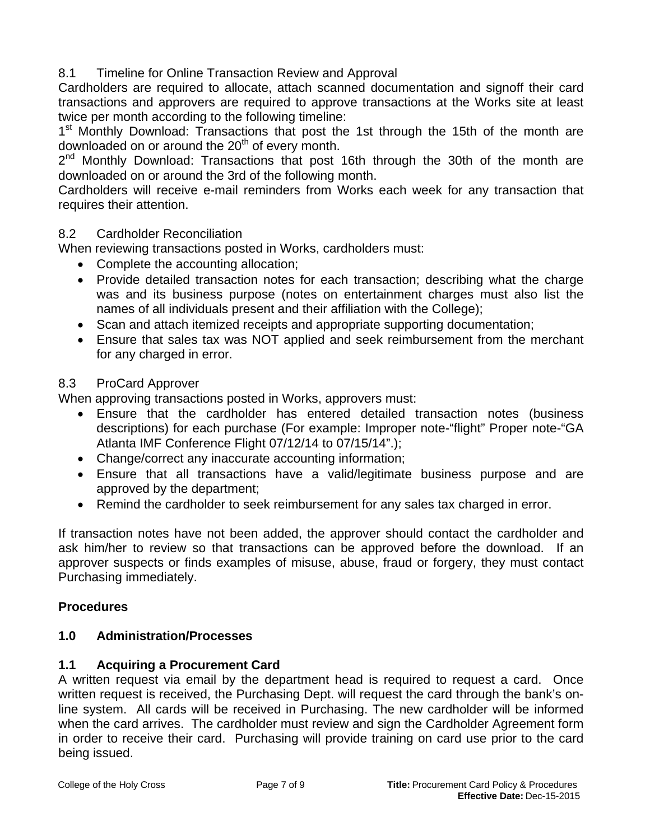## 8.1 Timeline for Online Transaction Review and Approval

Cardholders are required to allocate, attach scanned documentation and signoff their card transactions and approvers are required to approve transactions at the Works site at least twice per month according to the following timeline:

1<sup>st</sup> Monthly Download: Transactions that post the 1st through the 15th of the month are downloaded on or around the  $20<sup>th</sup>$  of every month.

 $2^{nd}$  Monthly Download: Transactions that post 16th through the 30th of the month are downloaded on or around the 3rd of the following month.

Cardholders will receive e-mail reminders from Works each week for any transaction that requires their attention.

### 8.2 Cardholder Reconciliation

When reviewing transactions posted in Works, cardholders must:

- Complete the accounting allocation;
- Provide detailed transaction notes for each transaction; describing what the charge was and its business purpose (notes on entertainment charges must also list the names of all individuals present and their affiliation with the College);
- Scan and attach itemized receipts and appropriate supporting documentation;
- Ensure that sales tax was NOT applied and seek reimbursement from the merchant for any charged in error.

### 8.3 ProCard Approver

When approving transactions posted in Works, approvers must:

- Ensure that the cardholder has entered detailed transaction notes (business descriptions) for each purchase (For example: Improper note-"flight" Proper note-"GA Atlanta IMF Conference Flight 07/12/14 to 07/15/14".);
- Change/correct any inaccurate accounting information;
- Ensure that all transactions have a valid/legitimate business purpose and are approved by the department;
- Remind the cardholder to seek reimbursement for any sales tax charged in error.

If transaction notes have not been added, the approver should contact the cardholder and ask him/her to review so that transactions can be approved before the download. If an approver suspects or finds examples of misuse, abuse, fraud or forgery, they must contact Purchasing immediately.

## **Procedures**

### **1.0 Administration/Processes**

### **1.1 Acquiring a Procurement Card**

A written request via email by the department head is required to request a card. Once written request is received, the Purchasing Dept. will request the card through the bank's online system. All cards will be received in Purchasing. The new cardholder will be informed when the card arrives. The cardholder must review and sign the Cardholder Agreement form in order to receive their card. Purchasing will provide training on card use prior to the card being issued.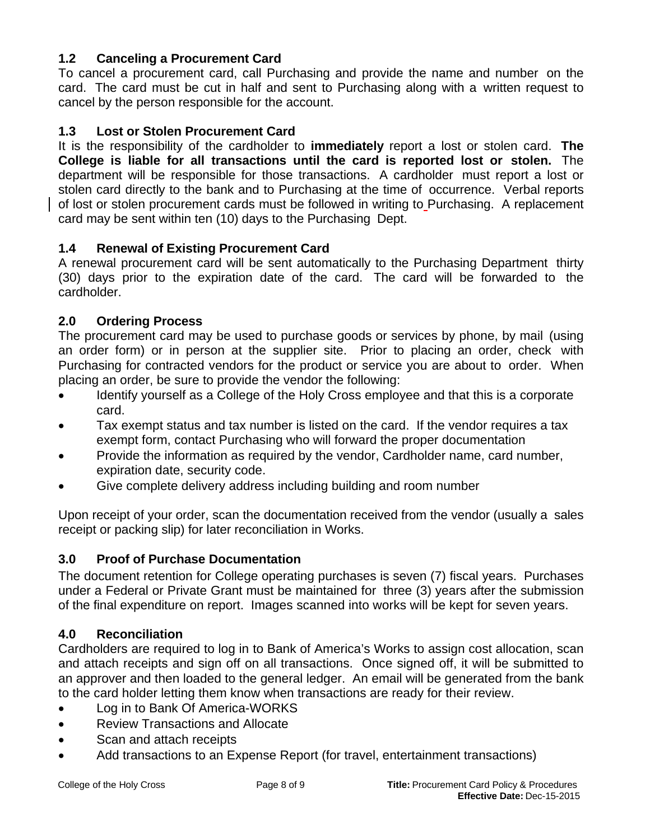# **1.2 Canceling a Procurement Card**

To cancel a procurement card, call Purchasing and provide the name and number on the card. The card must be cut in half and sent to Purchasing along with a written request to cancel by the person responsible for the account.

### **1.3 Lost or Stolen Procurement Card**

It is the responsibility of the cardholder to **immediately** report a lost or stolen card. **The College is liable for all transactions until the card is reported lost or stolen.** The department will be responsible for those transactions. A cardholder must report a lost or stolen card directly to the bank and to Purchasing at the time of occurrence. Verbal reports of lost or stolen procurement cards must be followed in writing to Purchasing. A replacement card may be sent within ten (10) days to the Purchasing Dept.

### **1.4 Renewal of Existing Procurement Card**

A renewal procurement card will be sent automatically to the Purchasing Department thirty (30) days prior to the expiration date of the card. The card will be forwarded to the cardholder.

### **2.0 Ordering Process**

The procurement card may be used to purchase goods or services by phone, by mail (using an order form) or in person at the supplier site. Prior to placing an order, check with Purchasing for contracted vendors for the product or service you are about to order. When placing an order, be sure to provide the vendor the following:

- Identify yourself as a College of the Holy Cross employee and that this is a corporate card.
- Tax exempt status and tax number is listed on the card. If the vendor requires a tax exempt form, contact Purchasing who will forward the proper documentation
- Provide the information as required by the vendor, Cardholder name, card number, expiration date, security code.
- Give complete delivery address including building and room number

Upon receipt of your order, scan the documentation received from the vendor (usually a sales receipt or packing slip) for later reconciliation in Works.

## **3.0 Proof of Purchase Documentation**

The document retention for College operating purchases is seven (7) fiscal years. Purchases under a Federal or Private Grant must be maintained for three (3) years after the submission of the final expenditure on report. Images scanned into works will be kept for seven years.

### **4.0 Reconciliation**

Cardholders are required to log in to Bank of America's Works to assign cost allocation, scan and attach receipts and sign off on all transactions. Once signed off, it will be submitted to an approver and then loaded to the general ledger. An email will be generated from the bank to the card holder letting them know when transactions are ready for their review.

- Log in to Bank Of America-WORKS
- Review Transactions and Allocate
- Scan and attach receipts
- Add transactions to an Expense Report (for travel, entertainment transactions)